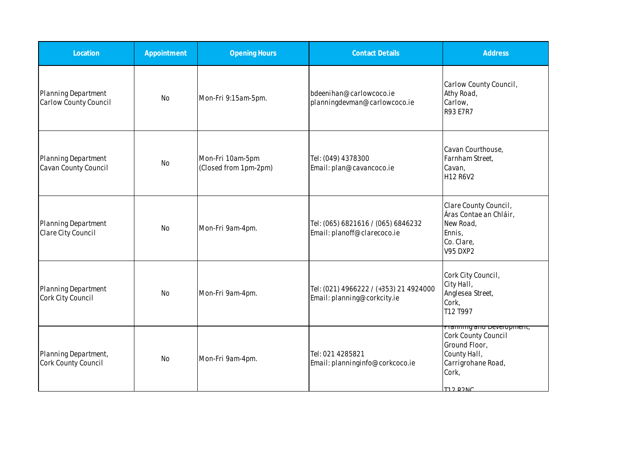| Location                                     | Appointment | <b>Opening Hours</b>                      | <b>Contact Details</b>                                                | <b>Address</b>                                                                                                                      |
|----------------------------------------------|-------------|-------------------------------------------|-----------------------------------------------------------------------|-------------------------------------------------------------------------------------------------------------------------------------|
| Planning Department<br>Carlow County Council | <b>No</b>   | Mon-Fri 9:15am-5pm.                       | bdeenihan@carlowcoco.je<br>planningdevman@carlowcoco.ie               | Carlow County Council,<br>Athy Road,<br>Carlow,<br><b>R93 E7R7</b>                                                                  |
| Planning Department<br>Cavan County Council  | <b>No</b>   | Mon-Fri 10am-5pm<br>(Closed from 1pm-2pm) | Tel: (049) 4378300<br>Email: plan@cavancoco.ie                        | Cavan Courthouse,<br>Farnham Street,<br>Cavan,<br>H <sub>12</sub> R <sub>6</sub> V <sub>2</sub>                                     |
| Planning Department<br>Clare City Council    | No          | Mon-Fri 9am-4pm.                          | Tel: (065) 6821616 / (065) 6846232<br>Email: planoff@clarecoco.ie     | Clare County Council,<br>Áras Contae an Chláir,<br>New Road,<br>Ennis,<br>Co. Clare,<br><b>V95 DXP2</b>                             |
| Planning Department<br>Cork City Council     | <b>No</b>   | Mon-Fri 9am-4pm.                          | Tel: (021) 4966222 / (+353) 21 4924000<br>Email: planning@corkcity.ie | Cork City Council,<br>City Hall,<br>Anglesea Street,<br>Cork,<br>T12 T997                                                           |
| Planning Department,<br>Cork County Council  | <b>No</b>   | Mon-Fri 9am-4pm.                          | Tel: 021 4285821<br>Email: planninginfo@corkcoco.ie                   | <b>Prammig and Deveropment,</b><br>Cork County Council<br>Ground Floor,<br>County Hall,<br>Carrigrohane Road,<br>Cork,<br>T12 DONIC |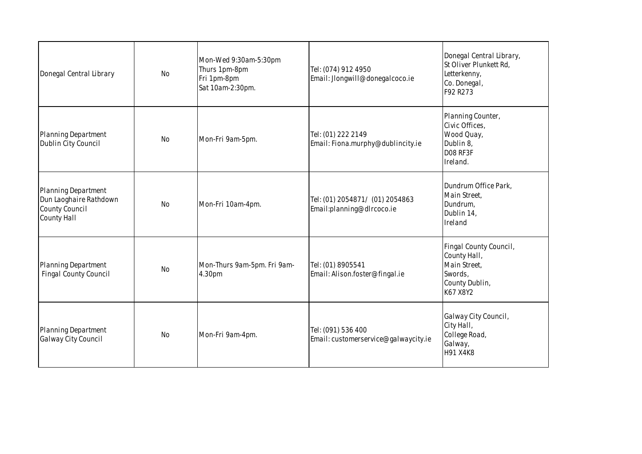| Donegal Central Library                                                               | <b>No</b> | Mon-Wed 9:30am-5:30pm<br>Thurs 1pm-8pm<br>Fri 1pm-8pm<br>Sat 10am-2:30pm. | Tel: (074) 912 4950<br>Email: Jlongwill@donegalcoco.ie       | Donegal Central Library,<br>St Oliver Plunkett Rd,<br>Letterkenny,<br>Co. Donegal,<br>F92 R273  |
|---------------------------------------------------------------------------------------|-----------|---------------------------------------------------------------------------|--------------------------------------------------------------|-------------------------------------------------------------------------------------------------|
| Planning Department<br>Dublin City Council                                            | <b>No</b> | Mon-Fri 9am-5pm.                                                          | Tel: (01) 222 2149<br>Email: Fiona.murphy@dublincity.ie      | Planning Counter,<br>Civic Offices,<br>Wood Quay,<br>Dublin 8,<br>D08 RF3F<br>Ireland.          |
| Planning Department<br>Dun Laoghaire Rathdown<br>County Council<br><b>County Hall</b> | <b>No</b> | Mon-Fri 10am-4pm.                                                         | Tel: (01) 2054871/ (01) 2054863<br>Email:planning@dlrcoco.ie | Dundrum Office Park,<br>Main Street,<br>Dundrum,<br>Dublin 14,<br>Ireland                       |
| Planning Department<br><b>Fingal County Council</b>                                   | <b>No</b> | Mon-Thurs 9am-5pm. Fri 9am-<br>4.30pm                                     | Tel: (01) 8905541<br>Email: Alison.foster@fingal.ie          | Fingal County Council,<br>County Hall,<br>Main Street,<br>Swords,<br>County Dublin,<br>K67 X8Y2 |
| <b>Planning Department</b><br>Galway City Council                                     | <b>No</b> | Mon-Fri 9am-4pm.                                                          | Tel: (091) 536 400<br>Email: customerservice@galwaycity.ie   | Galway City Council,<br>City Hall,<br>College Road,<br>Galway,<br>H91 X4K8                      |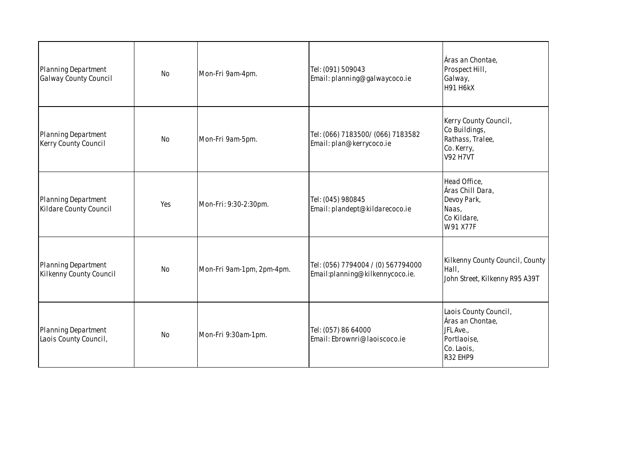| Planning Department<br>Galway County Council   | <b>No</b> | Mon-Fri 9am-4pm.          | Tel: (091) 509043<br>Email: planning@galwaycoco.ie                    | Áras an Chontae,<br>Prospect Hill,<br>Galway,<br><b>H91 H6kX</b>                                |
|------------------------------------------------|-----------|---------------------------|-----------------------------------------------------------------------|-------------------------------------------------------------------------------------------------|
| Planning Department<br>Kerry County Council    | <b>No</b> | Mon-Fri 9am-5pm.          | Tel: (066) 7183500/ (066) 7183582<br>Email: plan@kerrycoco.ie         | Kerry County Council,<br>Co Buildings,<br>Rathass, Tralee,<br>Co. Kerry,<br><b>V92 H7VT</b>     |
| Planning Department<br>Kildare County Council  | Yes       | Mon-Fri: 9:30-2:30pm.     | Tel: (045) 980845<br>Email: plandept@kildarecoco.ie                   | Head Office,<br>Áras Chill Dara,<br>Devoy Park,<br>Naas,<br>Co Kildare,<br>W91 X77F             |
| Planning Department<br>Kilkenny County Council | <b>No</b> | Mon-Fri 9am-1pm, 2pm-4pm. | Tel: (056) 7794004 / (0) 567794000<br>Email:planning@kilkennycoco.ie. | Kilkenny County Council, County<br>Hall,<br>John Street, Kilkenny R95 A39T                      |
| Planning Department<br>Laois County Council,   | No        | Mon-Fri 9:30am-1pm.       | Tel: (057) 86 64000<br>Email: Ebrownri@laoiscoco.ie                   | Laois County Council,<br>Áras an Chontae,<br>JFL Ave.,<br>Portlaoise,<br>Co. Laois,<br>R32 EHP9 |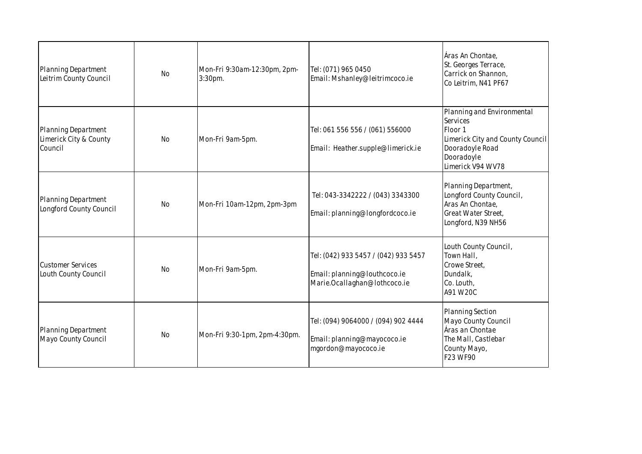| Planning Department<br>Leitrim County Council            | <b>No</b> | Mon-Fri 9:30am-12:30pm, 2pm-<br>3:30pm. | Tel: (071) 965 0450<br>Email: Mshanley@leitrimcoco.ie                                                | Áras An Chontae,<br>St. Georges Terrace,<br>Carrick on Shannon,<br>Co Leitrim, N41 PF67                                                     |
|----------------------------------------------------------|-----------|-----------------------------------------|------------------------------------------------------------------------------------------------------|---------------------------------------------------------------------------------------------------------------------------------------------|
| Planning Department<br>Limerick City & County<br>Council | No        | Mon-Fri 9am-5pm.                        | Tel: 061 556 556 / (061) 556000<br>Email: Heather.supple@limerick.ie                                 | Planning and Environmental<br>Services<br>Floor 1<br>Limerick City and County Council<br>Dooradoyle Road<br>Dooradoyle<br>Limerick V94 WV78 |
| Planning Department<br>Longford County Council           | No        | Mon-Fri 10am-12pm, 2pm-3pm              | Tel: 043-3342222 / (043) 3343300<br>Email: planning@longfordcoco.ie                                  | Planning Department,<br>Longford County Council,<br>Aras An Chontae,<br>Great Water Street,<br>Longford, N39 NH56                           |
| <b>Customer Services</b><br>Louth County Council         | <b>No</b> | Mon-Fri 9am-5pm.                        | Tel: (042) 933 5457 / (042) 933 5457<br>Email: planning@louthcoco.ie<br>Marie.Ocallaghan@lothcoco.ie | Louth County Council,<br>Town Hall,<br>Crowe Street,<br>Dundalk,<br>Co. Louth,<br>A91 W20C                                                  |
| <b>Planning Department</b><br>Mayo County Council        | <b>No</b> | Mon-Fri 9:30-1pm, 2pm-4:30pm.           | Tel: (094) 9064000 / (094) 902 4444<br>Email: planning@mayococo.ie<br>mgordon@mayococo.ie            | Planning Section<br>Mayo County Council<br>Áras an Chontae<br>The Mall, Castlebar<br>County Mayo,<br>F23 WF90                               |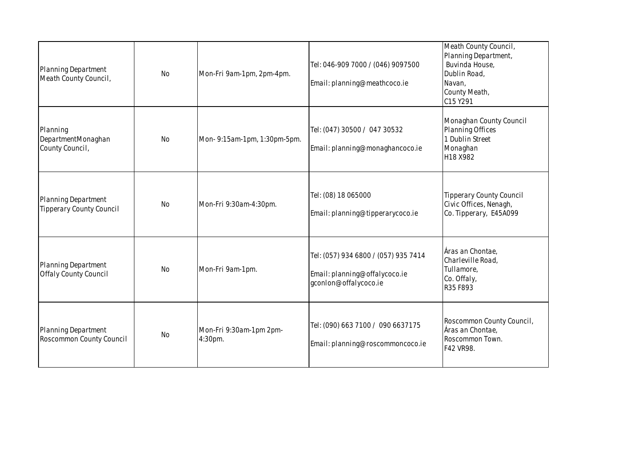| Planning Department<br>Meath County Council,               | <b>No</b> | Mon-Fri 9am-1pm, 2pm-4pm.          | Tel: 046-909 7000 / (046) 9097500<br>Email: planning@meathcoco.ie                              | Meath County Council,<br>Planning Department,<br>Buvinda House,<br>Dublin Road,<br>Navan,<br>County Meath,<br>C15 Y291 |
|------------------------------------------------------------|-----------|------------------------------------|------------------------------------------------------------------------------------------------|------------------------------------------------------------------------------------------------------------------------|
| Planning<br>DepartmentMonaghan<br>County Council,          | <b>No</b> | Mon- 9:15am-1pm, 1:30pm-5pm.       | Tel: (047) 30500 / 047 30532<br>Email: planning@monaghancoco.ie                                | Monaghan County Council<br><b>Planning Offices</b><br>1 Dublin Street<br>Monaghan<br>H18 X982                          |
| Planning Department<br><b>Tipperary County Council</b>     | <b>No</b> | Mon-Fri 9:30am-4:30pm.             | Tel: (08) 18 065000<br>Email: planning@tipperarycoco.ie                                        | <b>Tipperary County Council</b><br>Civic Offices, Nenagh,<br>Co. Tipperary, E45A099                                    |
| <b>Planning Department</b><br><b>Offaly County Council</b> | <b>No</b> | Mon-Fri 9am-1pm.                   | Tel: (057) 934 6800 / (057) 935 7414<br>Email: planning@offalycoco.ie<br>gconlon@offalycoco.ie | Áras an Chontae,<br>Charleville Road,<br>Tullamore,<br>Co. Offaly,<br>R35 F893                                         |
| Planning Department<br>Roscommon County Council            | <b>No</b> | Mon-Fri 9:30am-1pm 2pm-<br>4:30pm. | Tel: (090) 663 7100 / 090 6637175<br>Email: planning@roscommoncoco.ie                          | Roscommon County Council,<br>Áras an Chontae,<br>Roscommon Town.<br>F42 VR98.                                          |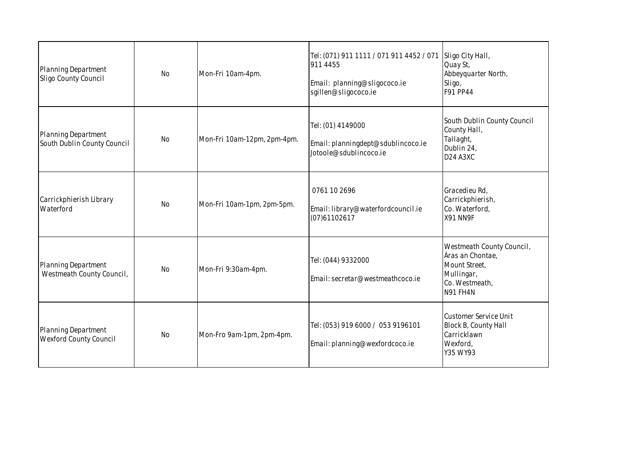| Planning Department<br>Sligo County Council                 | No        | Mon-Fri 10am-4pm.           | Tel: (071) 911 1111 / 071 911 4452 / 071<br>911 4455<br>Email: planning@sligococo.ie<br>sgillen@sligococo.ie | Sligo City Hall,<br>Quay St,<br>Abbeyquarter North,<br>Sligo,<br>F91 PP44                                               |
|-------------------------------------------------------------|-----------|-----------------------------|--------------------------------------------------------------------------------------------------------------|-------------------------------------------------------------------------------------------------------------------------|
| Planning Department<br>South Dublin County Council          | <b>No</b> | Mon-Fri 10am-12pm, 2pm-4pm. | Tel: (01) 4149000<br>Email: planningdept@sdublincoco.ie<br>Jotoole@sdublincoco.ie                            | South Dublin County Council<br>County Hall,<br>Tallaght,<br>Dublin 24,<br>D <sub>24</sub> A <sub>3</sub> X <sub>C</sub> |
| Carrickphierish Library<br>Waterford                        | <b>No</b> | Mon-Fri 10am-1pm, 2pm-5pm.  | 0761 10 2696<br>Email: library@waterfordcouncil.ie<br>(07)61102617                                           | Gracedieu Rd,<br>Carrickphierish,<br>Co. Waterford,<br>X91 NN9F                                                         |
| Planning Department<br>Westmeath County Council,            | No        | Mon-Fri 9:30am-4pm.         | Tel: (044) 9332000<br>Email: secretar@westmeathcoco.ie                                                       | Westmeath County Council,<br>Áras an Chontae,<br>Mount Street,<br>Mullingar,<br>Co. Westmeath,<br>N91 FH4N              |
| <b>Planning Department</b><br><b>Wexford County Council</b> | <b>No</b> | Mon-Fro 9am-1pm, 2pm-4pm.   | Tel: (053) 919 6000 / 053 9196101<br>Email: planning@wexfordcoco.ie                                          | Customer Service Unit<br>Block B, County Hall<br>Carricklawn<br>Wexford,<br>Y35 WY93                                    |